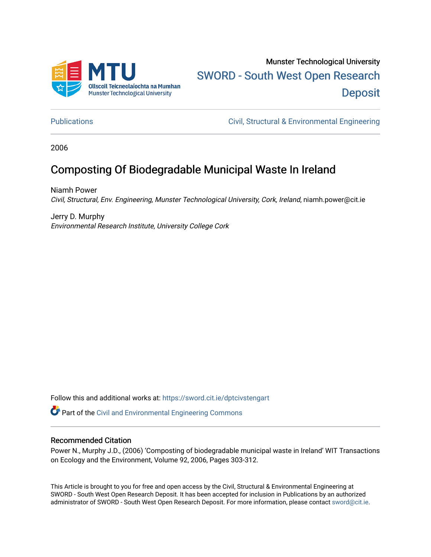

# Munster Technological University [SWORD - South West Open Research](https://sword.cit.ie/)  **Deposit**

[Publications](https://sword.cit.ie/dptcivstengart) [Civil, Structural & Environmental Engineering](https://sword.cit.ie/dptcivsteng) 

2006

## Composting Of Biodegradable Municipal Waste In Ireland

Niamh Power Civil, Structural, Env. Engineering, Munster Technological University, Cork, Ireland, niamh.power@cit.ie

Jerry D. Murphy Environmental Research Institute, University College Cork

Follow this and additional works at: [https://sword.cit.ie/dptcivstengart](https://sword.cit.ie/dptcivstengart?utm_source=sword.cit.ie%2Fdptcivstengart%2F7&utm_medium=PDF&utm_campaign=PDFCoverPages) 

Part of the [Civil and Environmental Engineering Commons](http://network.bepress.com/hgg/discipline/251?utm_source=sword.cit.ie%2Fdptcivstengart%2F7&utm_medium=PDF&utm_campaign=PDFCoverPages)

#### Recommended Citation

Power N., Murphy J.D., (2006) 'Composting of biodegradable municipal waste in Ireland' WIT Transactions on Ecology and the Environment, Volume 92, 2006, Pages 303-312.

This Article is brought to you for free and open access by the Civil, Structural & Environmental Engineering at SWORD - South West Open Research Deposit. It has been accepted for inclusion in Publications by an authorized administrator of SWORD - South West Open Research Deposit. For more information, please contact [sword@cit.ie.](mailto:sword@cit.ie)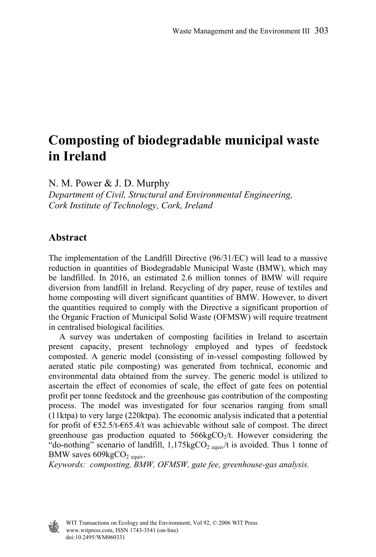## **Composting of biodegradable municipal waste in Ireland**

N. M. Power & J. D. Murphy

*Department of Civil, Structural and Environmental Engineering, Cork Institute of Technology, Cork, Ireland* 

#### **Abstract**

The implementation of the Landfill Directive (96/31/EC) will lead to a massive reduction in quantities of Biodegradable Municipal Waste (BMW), which may be landfilled. In 2016, an estimated 2.6 million tonnes of BMW will require diversion from landfill in Ireland. Recycling of dry paper, reuse of textiles and home composting will divert significant quantities of BMW. However, to divert the quantities required to comply with the Directive a significant proportion of the Organic Fraction of Municipal Solid Waste (OFMSW) will require treatment in centralised biological facilities.

 A survey was undertaken of composting facilities in Ireland to ascertain present capacity, present technology employed and types of feedstock composted. A generic model (consisting of in-vessel composting followed by aerated static pile composting) was generated from technical, economic and environmental data obtained from the survey. The generic model is utilized to ascertain the effect of economies of scale, the effect of gate fees on potential profit per tonne feedstock and the greenhouse gas contribution of the composting process. The model was investigated for four scenarios ranging from small (11ktpa) to very large (220ktpa). The economic analysis indicated that a potential for profit of €52.5/t-€65.4/t was achievable without sale of compost. The direct greenhouse gas production equated to  $566kgCO<sub>2</sub>/t$ . However considering the "do-nothing" scenario of landfill,  $1,175\text{kgCO}_2$  equiv/t is avoided. Thus 1 tonne of BMW saves  $609kgCO<sub>2</sub>$ <sub>equiv</sub>.

*Keywords: composting, BMW, OFMSW, gate fee, greenhouse-gas analysis.* 

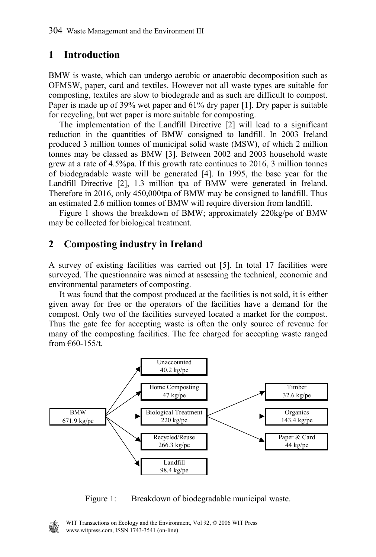## **1 Introduction**

BMW is waste, which can undergo aerobic or anaerobic decomposition such as OFMSW, paper, card and textiles. However not all waste types are suitable for composting, textiles are slow to biodegrade and as such are difficult to compost. Paper is made up of 39% wet paper and 61% dry paper [1]. Dry paper is suitable for recycling, but wet paper is more suitable for composting.

 The implementation of the Landfill Directive [2] will lead to a significant reduction in the quantities of BMW consigned to landfill. In 2003 Ireland produced 3 million tonnes of municipal solid waste (MSW), of which 2 million tonnes may be classed as BMW [3]. Between 2002 and 2003 household waste grew at a rate of 4.5%pa. If this growth rate continues to 2016, 3 million tonnes of biodegradable waste will be generated [4]. In 1995, the base year for the Landfill Directive [2], 1.3 million tpa of BMW were generated in Ireland. Therefore in 2016, only 450,000tpa of BMW may be consigned to landfill. Thus an estimated 2.6 million tonnes of BMW will require diversion from landfill.

 Figure 1 shows the breakdown of BMW; approximately 220kg/pe of BMW may be collected for biological treatment.

## **2 Composting industry in Ireland**

A survey of existing facilities was carried out [5]. In total 17 facilities were surveyed. The questionnaire was aimed at assessing the technical, economic and environmental parameters of composting.

 It was found that the compost produced at the facilities is not sold, it is either given away for free or the operators of the facilities have a demand for the compost. Only two of the facilities surveyed located a market for the compost. Thus the gate fee for accepting waste is often the only source of revenue for many of the composting facilities. The fee charged for accepting waste ranged from  $€60-155/t$ .



Figure 1: Breakdown of biodegradable municipal waste.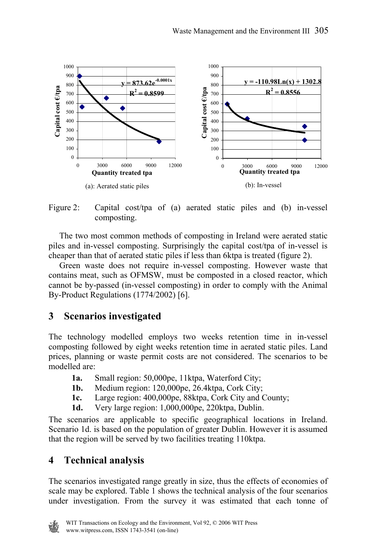

Figure 2: Capital cost/tpa of (a) aerated static piles and (b) in-vessel composting.

 The two most common methods of composting in Ireland were aerated static piles and in-vessel composting. Surprisingly the capital cost/tpa of in-vessel is cheaper than that of aerated static piles if less than 6ktpa is treated (figure 2).

 Green waste does not require in-vessel composting. However waste that contains meat, such as OFMSW, must be composted in a closed reactor, which cannot be by-passed (in-vessel composting) in order to comply with the Animal By-Product Regulations (1774/2002) [6].

### **3 Scenarios investigated**

The technology modelled employs two weeks retention time in in-vessel composting followed by eight weeks retention time in aerated static piles. Land prices, planning or waste permit costs are not considered. The scenarios to be modelled are:

- **1a.** Small region: 50,000pe, 11ktpa, Waterford City;
- **1b.** Medium region: 120,000pe, 26.4ktpa, Cork City;
- **1c.** Large region: 400,000pe, 88ktpa, Cork City and County;
- **1d.** Very large region: 1,000,000pe, 220ktpa, Dublin.

The scenarios are applicable to specific geographical locations in Ireland. Scenario 1d. is based on the population of greater Dublin. However it is assumed that the region will be served by two facilities treating 110ktpa.

### **4 Technical analysis**

The scenarios investigated range greatly in size, thus the effects of economies of scale may be explored. Table 1 shows the technical analysis of the four scenarios under investigation. From the survey it was estimated that each tonne of

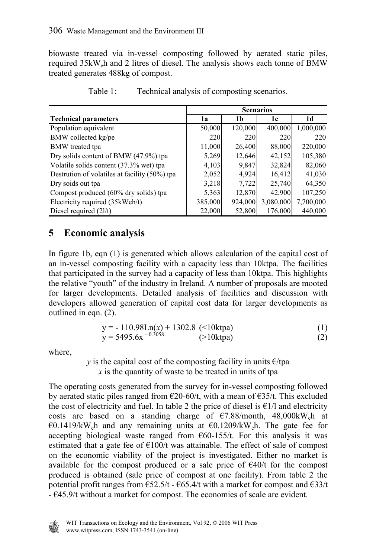biowaste treated via in-vessel composting followed by aerated static piles, required 35kWeh and 2 litres of diesel. The analysis shows each tonne of BMW treated generates 488kg of compost.

|                                               | <b>Scenarios</b> |         |           |           |
|-----------------------------------------------|------------------|---------|-----------|-----------|
| <b>Technical parameters</b>                   | 1a               | 1b      | 1c        | 1d        |
| Population equivalent                         | 50,000           | 120,000 | 400,000   | 1,000,000 |
| BMW collected kg/pe                           | 220              | 220     | 220       | 220       |
| <b>BMW</b> treated tpa                        | 11,000           | 26,400  | 88,000    | 220,000   |
| Dry solids content of BMW (47.9%) tpa         | 5,269            | 12,646  | 42,152    | 105,380   |
| Volatile solids content (37.3% wet) tpa       | 4,103            | 9,847   | 32,824    | 82,060    |
| Destrution of volatiles at facility (50%) tpa | 2,052            | 4,924   | 16,412    | 41,030    |
| Dry soids out tpa                             | 3,218            | 7,722   | 25,740    | 64,350    |
| Compost produced (60% dry solids) tpa         | 5,363            | 12,870  | 42,900    | 107,250   |
| Electricity required (35kWeh/t)               | 385,000          | 924,000 | 3,080,000 | 7,700,000 |
| Diesel required $(21/t)$                      | 22,000           | 52,800  | 176,000   | 440,000   |

| Table 1: |  |  | Technical analysis of composting scenarios. |
|----------|--|--|---------------------------------------------|
|          |  |  |                                             |

### **5 Economic analysis**

In figure 1b, eqn (1) is generated which allows calculation of the capital cost of an in-vessel composting facility with a capacity less than 10ktpa. The facilities that participated in the survey had a capacity of less than 10ktpa. This highlights the relative "youth" of the industry in Ireland. A number of proposals are mooted for larger developments. Detailed analysis of facilities and discussion with developers allowed generation of capital cost data for larger developments as outlined in eqn. (2).

$$
y = -110.98Ln(x) + 1302.8 \quad (<10 \text{ ktpa})y = 5495.6x^{-0.3058} \quad (>10 \text{ ktpa})(2)
$$

where,

*y* is the capital cost of the composting facility in units  $\epsilon$ /tpa *x* is the quantity of waste to be treated in units of tpa

The operating costs generated from the survey for in-vessel composting followed by aerated static piles ranged from  $\epsilon$ 20-60/t, with a mean of  $\epsilon$ 35/t. This excluded the cost of electricity and fuel. In table 2 the price of diesel is  $\epsilon$ 1/l and electricity costs are based on a standing charge of  $\epsilon$ 7.88/month, 48,000kW<sub>e</sub>h at €0.1419/kW<sub>e</sub>h and any remaining units at  $€0.1209$ /kW<sub>e</sub>h. The gate fee for accepting biological waste ranged from  $\epsilon$ 60-155/t. For this analysis it was estimated that a gate fee of  $\epsilon$ 100/t was attainable. The effect of sale of compost on the economic viability of the project is investigated. Either no market is available for the compost produced or a sale price of  $\epsilon$ 40/t for the compost produced is obtained (sale price of compost at one facility). From table 2 the potential profit ranges from  $\epsilon$ 52.5/t -  $\epsilon$ 65.4/t with a market for compost and  $\epsilon$ 33/t - €45.9/t without a market for compost. The economies of scale are evident.

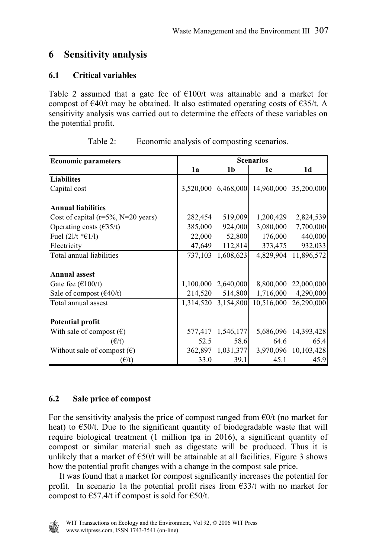## **6 Sensitivity analysis**

#### **6.1 Critical variables**

Table 2 assumed that a gate fee of  $\epsilon$ 100/t was attainable and a market for compost of  $\epsilon$ 40/t may be obtained. It also estimated operating costs of  $\epsilon$ 35/t. A sensitivity analysis was carried out to determine the effects of these variables on the potential profit.

| <b>Economic parameters</b>                   | <b>Scenarios</b> |                     |                      |                      |
|----------------------------------------------|------------------|---------------------|----------------------|----------------------|
|                                              | 1a               | 1 <sub>b</sub>      | 1c                   | 1 <sub>d</sub>       |
| <b>Liabilites</b>                            |                  |                     |                      |                      |
| Capital cost                                 | 3,520,000        |                     | 6,468,000 14,960,000 | 35,200,000           |
| <b>Annual liabilities</b>                    |                  |                     |                      |                      |
| Cost of capital ( $r=5\%$ , N=20 years)      | 282,454          | 519,009             | 1,200,429            | 2,824,539            |
| Operating costs $(\text{\textsterling}35/t)$ | 385,000          | 924,000             | 3,080,000            | 7,700,000            |
| Fuel $(21/t * €1/l)$                         | 22,000           | 52,800              | 176,000              | 440,000              |
| Electricity                                  | 47,649           | 112,814             | 373,475              | 932,033              |
| Total annual liabilities                     | 737,103          | 1,608,623           | 4,829,904            | 11,896,572           |
|                                              |                  |                     |                      |                      |
| <b>Annual assest</b>                         |                  |                     |                      |                      |
| Gate fee $(\text{\textsterling}100/t)$       | 1,100,000        | 2,640,000           | 8,800,000            | 22,000,000           |
| Sale of compost $(640/t)$                    | 214,520          | 514,800             | 1,716,000            | 4,290,000            |
| Total annual assest                          |                  | 1,314,520 3,154,800 | 10,516,000           | 26,290,000           |
|                                              |                  |                     |                      |                      |
| <b>Potential profit</b>                      |                  |                     |                      |                      |
| With sale of compost $(\epsilon)$            | 577,417          | 1,546,177           |                      | 5,686,096 14,393,428 |
| $(\epsilon/t)$                               | 52.5             | 58.6                | 64.6                 | 65.4                 |
| Without sale of compost $(\epsilon)$         | 362,897          | 1,031,377           |                      | 3,970,096 10,103,428 |
| $(\epsilon/t)$                               | 33.0             | 39.1                | 45.1                 | 45.9                 |

| Table 2: | Economic analysis of composting scenarios. |  |  |
|----------|--------------------------------------------|--|--|
|          |                                            |  |  |

#### **6.2 Sale price of compost**

For the sensitivity analysis the price of compost ranged from  $\epsilon$ 0/t (no market for heat) to  $\epsilon$ 50/t. Due to the significant quantity of biodegradable waste that will require biological treatment (1 million tpa in 2016), a significant quantity of compost or similar material such as digestate will be produced. Thus it is unlikely that a market of  $\epsilon$ 50/t will be attainable at all facilities. Figure 3 shows how the potential profit changes with a change in the compost sale price.

 It was found that a market for compost significantly increases the potential for profit. In scenario 1a the potential profit rises from  $\epsilon$ 33/t with no market for compost to  $\text{\textsterling}57.4/t$  if compost is sold for  $\text{\textsterling}50/t$ .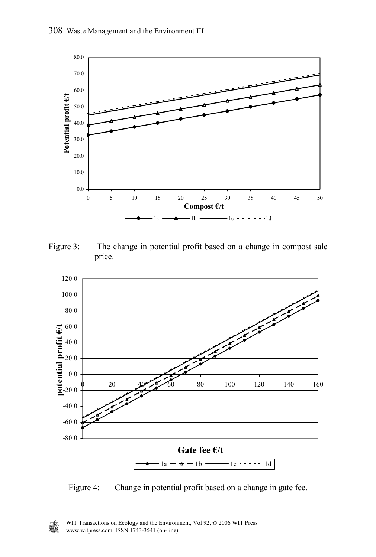

Figure 3: The change in potential profit based on a change in compost sale price.



Figure 4: Change in potential profit based on a change in gate fee.

W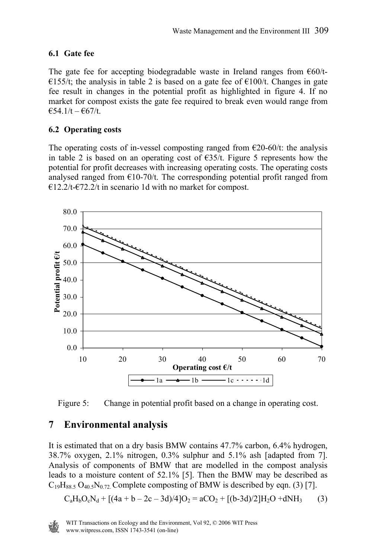#### **6.1 Gate fee**

The gate fee for accepting biodegradable waste in Ireland ranges from  $\epsilon 60/t$ -€155/t; the analysis in table 2 is based on a gate fee of  $€100/t$ . Changes in gate fee result in changes in the potential profit as highlighted in figure 4. If no market for compost exists the gate fee required to break even would range from  $€54.1/t - €67/t.$ 

#### **6.2 Operating costs**

The operating costs of in-vessel composting ranged from  $\epsilon$ 20-60/t: the analysis in table 2 is based on an operating cost of  $\epsilon$ 35/t. Figure 5 represents how the potential for profit decreases with increasing operating costs. The operating costs analysed ranged from  $\epsilon$ 10-70/t. The corresponding potential profit ranged from  $€12.2/t-€72.2/t$  in scenario 1d with no market for compost.



Figure 5: Change in potential profit based on a change in operating cost.

## **7 Environmental analysis**

It is estimated that on a dry basis BMW contains 47.7% carbon, 6.4% hydrogen, 38.7% oxygen, 2.1% nitrogen, 0.3% sulphur and 5.1% ash [adapted from 7]. Analysis of components of BMW that are modelled in the compost analysis leads to a moisture content of 52.1% [5]. Then the BMW may be described as  $C_{19}H_{88.5} O_{40.5}N_{0.72}$  Complete composting of BMW is described by eqn. (3) [7].

$$
C_aH_bO_cN_d + [(4a + b - 2c - 3d)/4]O_2 = aCO_2 + [(b-3d)/2]H_2O + dNH_3
$$
 (3)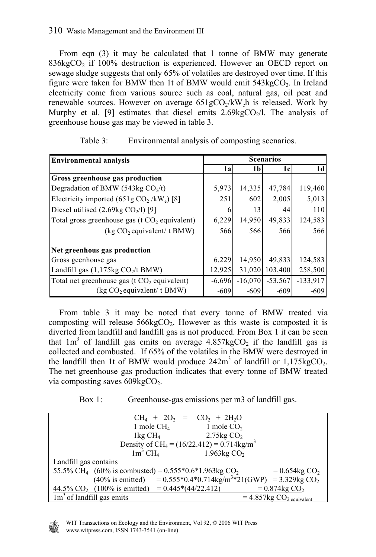#### 310 Waste Management and the Environment III

 From eqn (3) it may be calculated that 1 tonne of BMW may generate  $836\text{kgCO}_2$  if  $100\%$  destruction is experienced. However an OECD report on sewage sludge suggests that only 65% of volatiles are destroyed over time. If this figure were taken for BMW then 1t of BMW would emit  $543\text{kgCO}_2$ . In Ireland electricity come from various source such as coal, natural gas, oil peat and renewable sources. However on average  $651gCO<sub>2</sub>/kW<sub>e</sub>h$  is released. Work by Murphy et al. [9] estimates that diesel emits  $2.69 \text{kgCO}$ <sub>2</sub>/l. The analysis of greenhouse house gas may be viewed in table 3.

| <b>Environmental analysis</b>                                | <b>Scenarios</b> |                |           |                |
|--------------------------------------------------------------|------------------|----------------|-----------|----------------|
|                                                              | 1a               | 1 <sub>b</sub> | 1c        | 1 <sub>d</sub> |
| <b>Gross greenhouse gas production</b>                       |                  |                |           |                |
| Degradation of BMW (543kg $CO2/t$ )                          | 5,973            | 14,335         | 47,784    | 119,460        |
| Electricity imported $(651g \text{ CO}_2 / \text{kW}_e)$ [8] | 251              | 602            | 2,005     | 5,013          |
| Diesel utilised $(2.69 \text{kg }CO2/l)$ [9]                 | 6                | 13             | 44        | 110            |
| Total gross greenhouse gas ( $t CO2$ equivalent)             | 6,229            | 14,950         | 49,833    | 124,583        |
| (kg CO <sub>2</sub> equivalent/ t BMW)                       | 566              | 566            | 566       | 566            |
| Net greenhous gas production                                 |                  |                |           |                |
| Gross geenhouse gas                                          | 6,229            | 14,950         | 49,833    | 124,583        |
| Landfill gas $(1,175\text{kg CO}_{2}/t\text{BMW})$           | 12,925           | 31,020         | 103,400   | 258,500        |
| Total net greenhouse gas ( $t CO2$ equivalent)               | $-6,696$         | $-16.070$      | $-53.567$ | $-133,917$     |
| (kg CO <sub>2</sub> equivalent/ t BMW)                       | $-609$           | $-609$         | $-609$    | $-609$         |

| Table 3: | Environmental analysis of composting scenarios. |  |  |
|----------|-------------------------------------------------|--|--|
|          |                                                 |  |  |

 From table 3 it may be noted that every tonne of BMW treated via composting will release  $566 \& \text{CO}_2$ . However as this waste is composted it is diverted from landfill and landfill gas is not produced. From Box 1 it can be seen that  $1m<sup>3</sup>$  of landfill gas emits on average  $4.857 \text{kgCO}_2$  if the landfill gas is collected and combusted. If 65% of the volatiles in the BMW were destroyed in the landfill then 1t of BMW would produce  $242m^3$  of landfill or  $1,175kgCO_2$ . The net greenhouse gas production indicates that every tonne of BMW treated via composting saves  $609kgCO<sub>2</sub>$ .

Box 1: Greenhouse-gas emissions per m3 of landfill gas.

| $CH_4 + 2O_2 = CO_2 + 2H_2O$                                                                                |
|-------------------------------------------------------------------------------------------------------------|
| 1 mole $CH4$<br>1 mole $CO2$                                                                                |
| 2.75 $kgCO2$<br>1kg CH <sub>4</sub>                                                                         |
| Density of CH <sub>4</sub> = $(16/22.412) = 0.714$ kg/m <sup>3</sup>                                        |
| $1m^3$ CH <sub>4</sub><br>1.963 $kgCO2$                                                                     |
| Landfill gas contains                                                                                       |
| 55.5% CH <sub>4</sub> (60% is combusted) = $0.555*0.6*1.963 \text{kg CO}_2$<br>$= 0.654$ kg CO <sub>2</sub> |
| $(40\% \text{ is emitted})$ = 0.555*0.4*0.714kg/m <sup>3*</sup> 21(GWP) = 3.329kg CO <sub>2</sub>           |
| $44.5\%$ CO <sub>2</sub> (100% is emitted) = 0.445 <sup>*</sup> (44/22.412)<br>$= 0.874$ kg CO <sub>2</sub> |
| $1m3$ of landfill gas emits<br>$= 4.857 \text{kg CO}_2$ equivalent                                          |

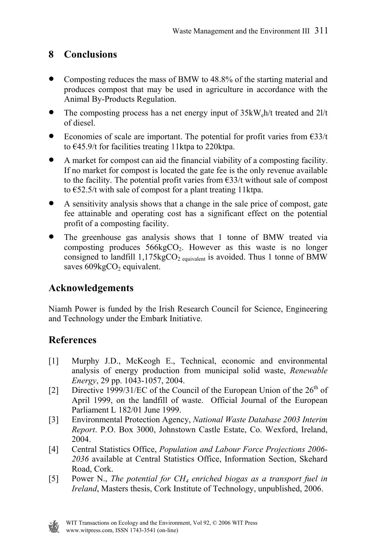## **8 Conclusions**

- Composting reduces the mass of BMW to 48.8% of the starting material and produces compost that may be used in agriculture in accordance with the Animal By-Products Regulation.
- The composting process has a net energy input of  $35kW_e h/t$  treated and  $21/t$ of diesel.
- Economies of scale are important. The potential for profit varies from  $\epsilon$ 33/t to €45.9/t for facilities treating 11ktpa to 220ktpa.
- A market for compost can aid the financial viability of a composting facility. If no market for compost is located the gate fee is the only revenue available to the facility. The potential profit varies from  $\epsilon$ 33/t without sale of compost to €52.5/t with sale of compost for a plant treating 11ktpa.
- A sensitivity analysis shows that a change in the sale price of compost, gate fee attainable and operating cost has a significant effect on the potential profit of a composting facility.
- The greenhouse gas analysis shows that 1 tonne of BMW treated via composting produces  $566kgCO<sub>2</sub>$ . However as this waste is no longer consigned to landfill  $1,175\text{kgCO}_2$  equivalent is avoided. Thus 1 tonne of BMW saves  $609kgCO<sub>2</sub>$  equivalent.

### **Acknowledgements**

Niamh Power is funded by the Irish Research Council for Science, Engineering and Technology under the Embark Initiative.

## **References**

- [1] Murphy J.D., McKeogh E., Technical, economic and environmental analysis of energy production from municipal solid waste, *Renewable Energy*, 29 pp. 1043-1057, 2004.
- [2] Directive 1999/31/EC of the Council of the European Union of the  $26<sup>th</sup>$  of April 1999, on the landfill of waste. Official Journal of the European Parliament L 182/01 June 1999.
- [3] Environmental Protection Agency, *National Waste Database 2003 Interim Report*. P.O. Box 3000, Johnstown Castle Estate, Co. Wexford, Ireland, 2004.
- [4] Central Statistics Office, *Population and Labour Force Projections 2006- 2036* available at Central Statistics Office, Information Section, Skehard Road, Cork.
- [5] Power N., *The potential for CH4 enriched biogas as a transport fuel in Ireland*, Masters thesis, Cork Institute of Technology, unpublished, 2006.